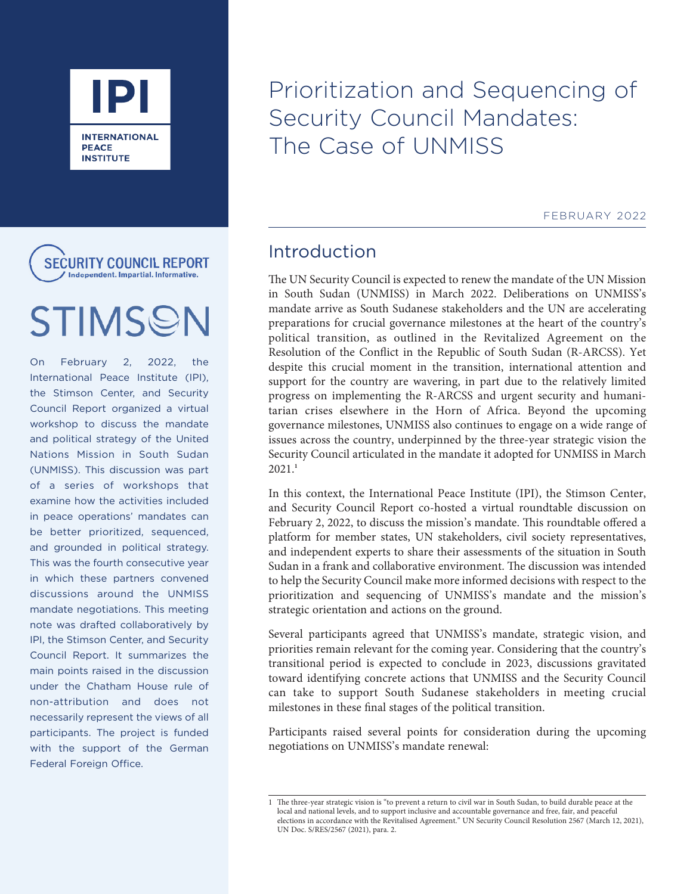

**SECURITY COUNCIL REPORT** Independent. Impartial. Informative

# STIMSON

On February 2, 2022, the International Peace Institute (IPI), the Stimson Center, and Security Council Report organized a virtual workshop to discuss the mandate and political strategy of the United Nations Mission in South Sudan (UNMISS). This discussion was part of a series of workshops that examine how the activities included in peace operations' mandates can be better prioritized, sequenced, and grounded in political strategy. This was the fourth consecutive year in which these partners convened discussions around the UNMISS mandate negotiations. This meeting note was drafted collaboratively by IPI, the Stimson Center, and Security Council Report. It summarizes the main points raised in the discussion under the Chatham House rule of non-attribution and does not necessarily represent the views of all participants. The project is funded with the support of the German Federal Foreign Office.

Prioritization and Sequencing of Security Council Mandates: The Case of UNMISS

FEBRUARY 2022

# Introduction

The UN Security Council is expected to renew the mandate of the UN Mission in South Sudan (UNMISS) in March 2022. Deliberations on UNMISS's mandate arrive as South Sudanese stakeholders and the UN are accelerating preparations for crucial governance milestones at the heart of the country's political transition, as outlined in the Revitalized Agreement on the Resolution of the Conflict in the Republic of South Sudan (R-ARCSS). Yet despite this crucial moment in the transition, international attention and support for the country are wavering, in part due to the relatively limited progress on implementing the R-ARCSS and urgent security and humanitarian crises elsewhere in the Horn of Africa. Beyond the upcoming governance milestones, UNMISS also continues to engage on a wide range of issues across the country, underpinned by the three-year strategic vision the Security Council articulated in the mandate it adopted for UNMISS in March 2021.**<sup>1</sup>**

In this context, the International Peace Institute (IPI), the Stimson Center, and Security Council Report co-hosted a virtual roundtable discussion on February 2, 2022, to discuss the mission's mandate. This roundtable offered a platform for member states, UN stakeholders, civil society representatives, and independent experts to share their assessments of the situation in South Sudan in a frank and collaborative environment. The discussion was intended to help the Security Council make more informed decisions with respect to the prioritization and sequencing of UNMISS's mandate and the mission's strategic orientation and actions on the ground.

Several participants agreed that UNMISS's mandate, strategic vision, and priorities remain relevant for the coming year. Considering that the country's transitional period is expected to conclude in 2023, discussions gravitated toward identifying concrete actions that UNMISS and the Security Council can take to support South Sudanese stakeholders in meeting crucial milestones in these final stages of the political transition.

Participants raised several points for consideration during the upcoming negotiations on UNMISS's mandate renewal:

<sup>1</sup> The three-year strategic vision is "to prevent a return to civil war in South Sudan, to build durable peace at the local and national levels, and to support inclusive and accountable governance and free, fair, and peaceful elections in accordance with the Revitalised Agreement." UN Security Council Resolution 2567 (March 12, 2021), UN Doc. S/RES/2567 (2021), para. 2.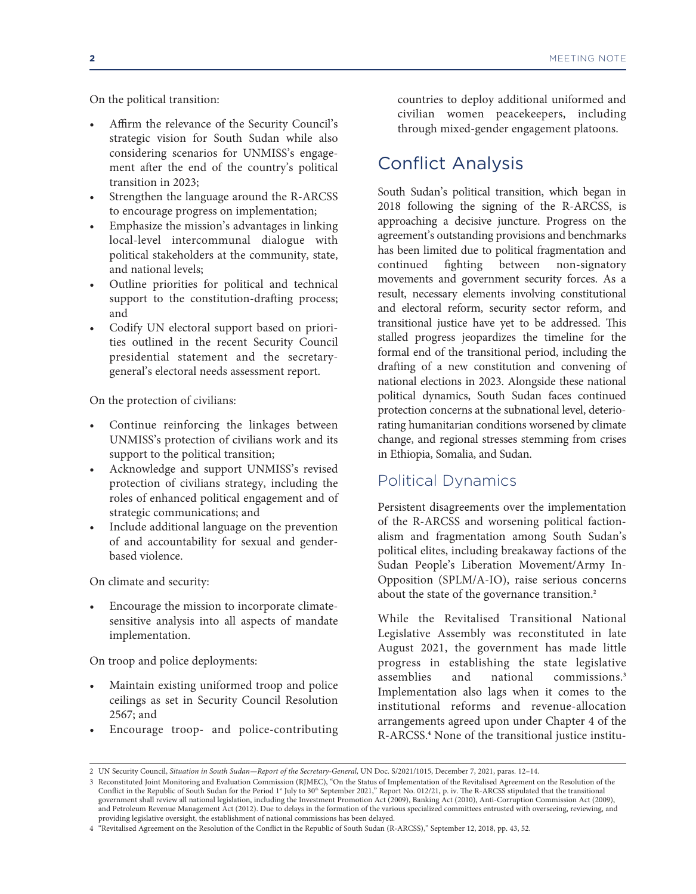On the political transition:

- Affirm the relevance of the Security Council's strategic vision for South Sudan while also considering scenarios for UNMISS's engagement after the end of the country's political transition in 2023;
- Strengthen the language around the R-ARCSS to encourage progress on implementation;
- Emphasize the mission's advantages in linking local-level intercommunal dialogue with political stakeholders at the community, state, and national levels;
- Outline priorities for political and technical support to the constitution-drafting process; and
- Codify UN electoral support based on priorities outlined in the recent Security Council presidential statement and the secretarygeneral's electoral needs assessment report.

On the protection of civilians:

- Continue reinforcing the linkages between UNMISS's protection of civilians work and its support to the political transition;
- Acknowledge and support UNMISS's revised protection of civilians strategy, including the roles of enhanced political engagement and of strategic communications; and
- Include additional language on the prevention of and accountability for sexual and genderbased violence.

On climate and security:

• Encourage the mission to incorporate climatesensitive analysis into all aspects of mandate implementation.

On troop and police deployments:

- Maintain existing uniformed troop and police ceilings as set in Security Council Resolution 2567; and
- Encourage troop- and police-contributing

countries to deploy additional uniformed and civilian women peacekeepers, including through mixed-gender engagement platoons.

# Conflict Analysis

South Sudan's political transition, which began in 2018 following the signing of the R-ARCSS, is approaching a decisive juncture. Progress on the agreement's outstanding provisions and benchmarks has been limited due to political fragmentation and continued fighting between non-signatory movements and government security forces. As a result, necessary elements involving constitutional and electoral reform, security sector reform, and transitional justice have yet to be addressed. This stalled progress jeopardizes the timeline for the formal end of the transitional period, including the drafting of a new constitution and convening of national elections in 2023. Alongside these national political dynamics, South Sudan faces continued protection concerns at the subnational level, deteriorating humanitarian conditions worsened by climate change, and regional stresses stemming from crises in Ethiopia, Somalia, and Sudan.

#### Political Dynamics

Persistent disagreements over the implementation of the R-ARCSS and worsening political factionalism and fragmentation among South Sudan's political elites, including breakaway factions of the Sudan People's Liberation Movement/Army In-Opposition (SPLM/A-IO), raise serious concerns about the state of the governance transition.**<sup>2</sup>**

While the Revitalised Transitional National Legislative Assembly was reconstituted in late August 2021, the government has made little progress in establishing the state legislative assemblies and national commissions.**<sup>3</sup>** Implementation also lags when it comes to the institutional reforms and revenue-allocation arrangements agreed upon under Chapter 4 of the R-ARCSS.**<sup>4</sup>** None of the transitional justice institu-

<sup>2</sup> UN Security Council, *Situation in South Sudan—Report of the Secretary-General*, UN Doc. S/2021/1015, December 7, 2021, paras. 12–14.

<sup>3</sup> Reconstituted Joint Monitoring and Evaluation Commission (RJMEC), "On the Status of Implementation of the Revitalised Agreement on the Resolution of the Conflict in the Republic of South Sudan for the Period 1<sup>st</sup> July to 30<sup>th</sup> September 2021," Report No. 012/21, p. iv. The R-ARCSS stipulated that the transitional government shall review all national legislation, including the Investment Promotion Act (2009), Banking Act (2010), Anti-Corruption Commission Act (2009), and Petroleum Revenue Management Act (2012). Due to delays in the formation of the various specialized committees entrusted with overseeing, reviewing, and providing legislative oversight, the establishment of national commissions has been delayed.

<sup>4 &</sup>quot;Revitalised Agreement on the Resolution of the Conflict in the Republic of South Sudan (R-ARCSS)," September 12, 2018, pp. 43, 52.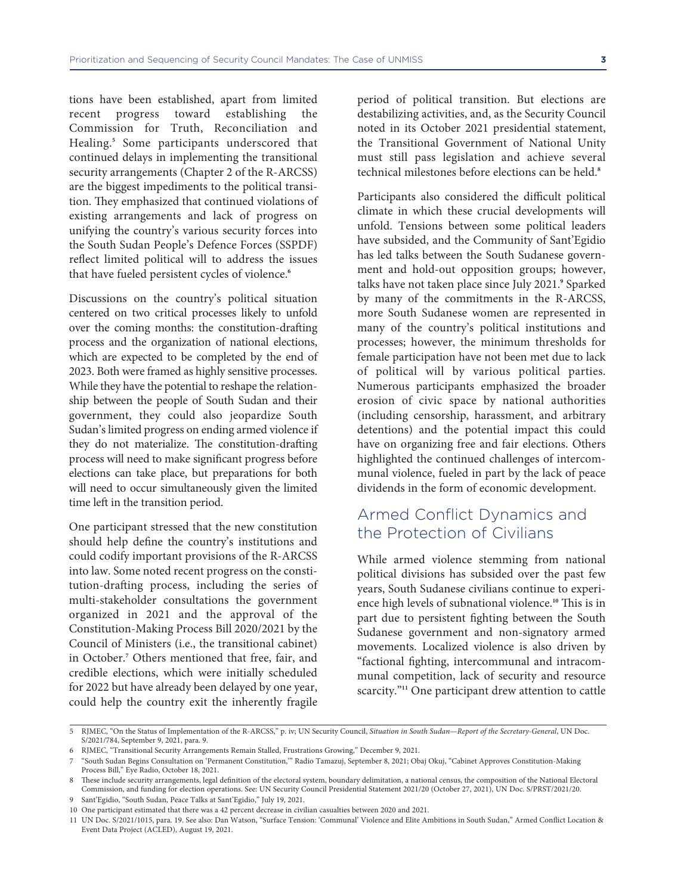tions have been established, apart from limited recent progress toward establishing the Commission for Truth, Reconciliation and Healing.**<sup>5</sup>** Some participants underscored that continued delays in implementing the transitional security arrangements (Chapter 2 of the R-ARCSS) are the biggest impediments to the political transition. They emphasized that continued violations of existing arrangements and lack of progress on unifying the country's various security forces into the South Sudan People's Defence Forces (SSPDF) reflect limited political will to address the issues that have fueled persistent cycles of violence.**<sup>6</sup>**

Discussions on the country's political situation centered on two critical processes likely to unfold over the coming months: the constitution-drafting process and the organization of national elections, which are expected to be completed by the end of 2023. Both were framed as highly sensitive processes. While they have the potential to reshape the relationship between the people of South Sudan and their government, they could also jeopardize South Sudan's limited progress on ending armed violence if they do not materialize. The constitution-drafting process will need to make significant progress before elections can take place, but preparations for both will need to occur simultaneously given the limited time left in the transition period.

One participant stressed that the new constitution should help define the country's institutions and could codify important provisions of the R-ARCSS into law. Some noted recent progress on the constitution-drafting process, including the series of multi-stakeholder consultations the government organized in 2021 and the approval of the Constitution-Making Process Bill 2020/2021 by the Council of Ministers (i.e., the transitional cabinet) in October.**<sup>7</sup>** Others mentioned that free, fair, and credible elections, which were initially scheduled for 2022 but have already been delayed by one year, could help the country exit the inherently fragile

period of political transition. But elections are destabilizing activities, and, as the Security Council noted in its October 2021 presidential statement, the Transitional Government of National Unity must still pass legislation and achieve several technical milestones before elections can be held.**<sup>8</sup>**

Participants also considered the difficult political climate in which these crucial developments will unfold. Tensions between some political leaders have subsided, and the Community of Sant'Egidio has led talks between the South Sudanese government and hold-out opposition groups; however, talks have not taken place since July 2021.<sup>,</sup> Sparked by many of the commitments in the R-ARCSS, more South Sudanese women are represented in many of the country's political institutions and processes; however, the minimum thresholds for female participation have not been met due to lack of political will by various political parties. Numerous participants emphasized the broader erosion of civic space by national authorities (including censorship, harassment, and arbitrary detentions) and the potential impact this could have on organizing free and fair elections. Others highlighted the continued challenges of intercommunal violence, fueled in part by the lack of peace dividends in the form of economic development.

## Armed Conflict Dynamics and the Protection of Civilians

While armed violence stemming from national political divisions has subsided over the past few years, South Sudanese civilians continue to experience high levels of subnational violence.**10** This is in part due to persistent fighting between the South Sudanese government and non-signatory armed movements. Localized violence is also driven by "factional fighting, intercommunal and intracommunal competition, lack of security and resource scarcity."<sup>11</sup> One participant drew attention to cattle

<sup>5</sup> RJMEC, "On the Status of Implementation of the R-ARCSS," p. iv; UN Security Council, *Situation in South Sudan—Report of the Secretary-General*, UN Doc. S/2021/784, September 9, 2021, para. 9.

<sup>6</sup> RJMEC, "Transitional Security Arrangements Remain Stalled, Frustrations Growing," December 9, 2021.

<sup>7 &</sup>quot;South Sudan Begins Consultation on 'Permanent Constitution,'" Radio Tamazuj, September 8, 2021; Obaj Okuj, "Cabinet Approves Constitution-Making Process Bill," Eye Radio, October 18, 2021.

<sup>8</sup> These include security arrangements, legal definition of the electoral system, boundary delimitation, a national census, the composition of the National Electoral Commission, and funding for election operations. See: UN Security Council Presidential Statement 2021/20 (October 27, 2021), UN Doc. S/PRST/2021/20. 9 Sant'Egidio, "South Sudan, Peace Talks at Sant'Egidio," July 19, 2021.

<sup>10</sup> One participant estimated that there was a 42 percent decrease in civilian casualties between 2020 and 2021.

<sup>11</sup> UN Doc. S/2021/1015, para. 19. See also: Dan Watson, "Surface Tension: 'Communal' Violence and Elite Ambitions in South Sudan," Armed Conflict Location & Event Data Project (ACLED), August 19, 2021.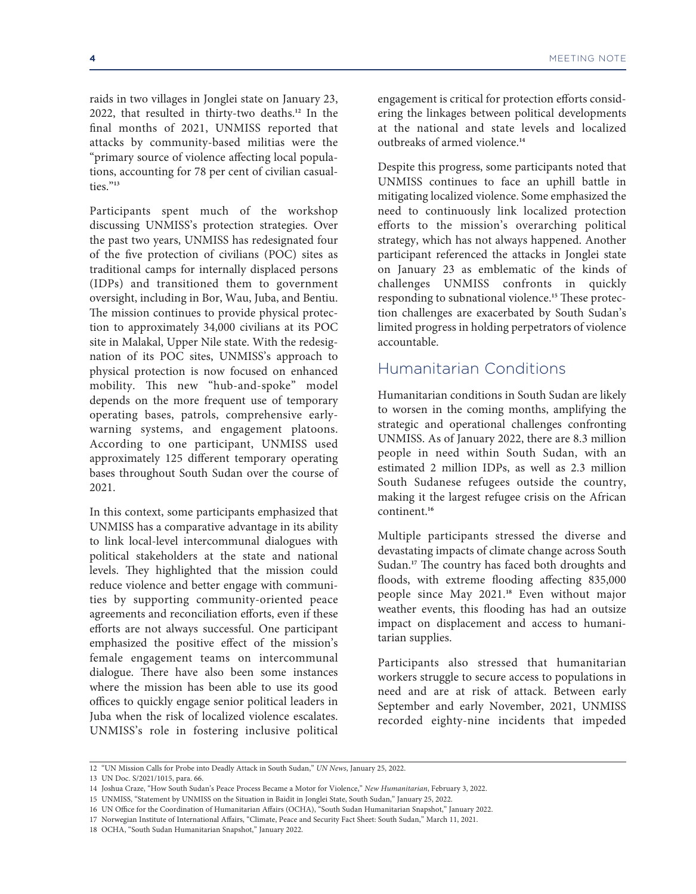raids in two villages in Jonglei state on January 23, 2022, that resulted in thirty-two deaths.**<sup>12</sup>** In the final months of 2021, UNMISS reported that attacks by community-based militias were the "primary source of violence affecting local populations, accounting for 78 per cent of civilian casualties."**<sup>13</sup>**

Participants spent much of the workshop discussing UNMISS's protection strategies. Over the past two years, UNMISS has redesignated four of the five protection of civilians (POC) sites as traditional camps for internally displaced persons (IDPs) and transitioned them to government oversight, including in Bor, Wau, Juba, and Bentiu. The mission continues to provide physical protection to approximately 34,000 civilians at its POC site in Malakal, Upper Nile state. With the redesignation of its POC sites, UNMISS's approach to physical protection is now focused on enhanced mobility. This new "hub-and-spoke" model depends on the more frequent use of temporary operating bases, patrols, comprehensive earlywarning systems, and engagement platoons. According to one participant, UNMISS used approximately 125 different temporary operating bases throughout South Sudan over the course of 2021.

In this context, some participants emphasized that UNMISS has a comparative advantage in its ability to link local-level intercommunal dialogues with political stakeholders at the state and national levels. They highlighted that the mission could reduce violence and better engage with communities by supporting community-oriented peace agreements and reconciliation efforts, even if these efforts are not always successful. One participant emphasized the positive effect of the mission's female engagement teams on intercommunal dialogue. There have also been some instances where the mission has been able to use its good offices to quickly engage senior political leaders in Juba when the risk of localized violence escalates. UNMISS's role in fostering inclusive political engagement is critical for protection efforts considering the linkages between political developments at the national and state levels and localized outbreaks of armed violence.**<sup>14</sup>**

Despite this progress, some participants noted that UNMISS continues to face an uphill battle in mitigating localized violence. Some emphasized the need to continuously link localized protection efforts to the mission's overarching political strategy, which has not always happened. Another participant referenced the attacks in Jonglei state on January 23 as emblematic of the kinds of challenges UNMISS confronts in quickly responding to subnational violence.**<sup>15</sup>** These protection challenges are exacerbated by South Sudan's limited progress in holding perpetrators of violence accountable.

#### Humanitarian Conditions

Humanitarian conditions in South Sudan are likely to worsen in the coming months, amplifying the strategic and operational challenges confronting UNMISS. As of January 2022, there are 8.3 million people in need within South Sudan, with an estimated 2 million IDPs, as well as 2.3 million South Sudanese refugees outside the country, making it the largest refugee crisis on the African continent.**<sup>16</sup>**

Multiple participants stressed the diverse and devastating impacts of climate change across South Sudan.**<sup>17</sup>** The country has faced both droughts and floods, with extreme flooding affecting 835,000 people since May 2021.**<sup>18</sup>** Even without major weather events, this flooding has had an outsize impact on displacement and access to humanitarian supplies.

Participants also stressed that humanitarian workers struggle to secure access to populations in need and are at risk of attack. Between early September and early November, 2021, UNMISS recorded eighty-nine incidents that impeded

15 UNMISS, "Statement by UNMISS on the Situation in Baidit in Jonglei State, South Sudan," January 25, 2022.

18 OCHA, "South Sudan Humanitarian Snapshot," January 2022.

<sup>12 &</sup>quot;UN Mission Calls for Probe into Deadly Attack in South Sudan," *UN News*, January 25, 2022.

<sup>13</sup> UN Doc. S/2021/1015, para. 66.

<sup>14</sup> Joshua Craze, "How South Sudan's Peace Process Became a Motor for Violence," *New Humanitarian*, February 3, 2022.

<sup>16</sup> UN Office for the Coordination of Humanitarian Affairs (OCHA), "South Sudan Humanitarian Snapshot," January 2022.

<sup>17</sup> Norwegian Institute of International Affairs, "Climate, Peace and Security Fact Sheet: South Sudan," March 11, 2021.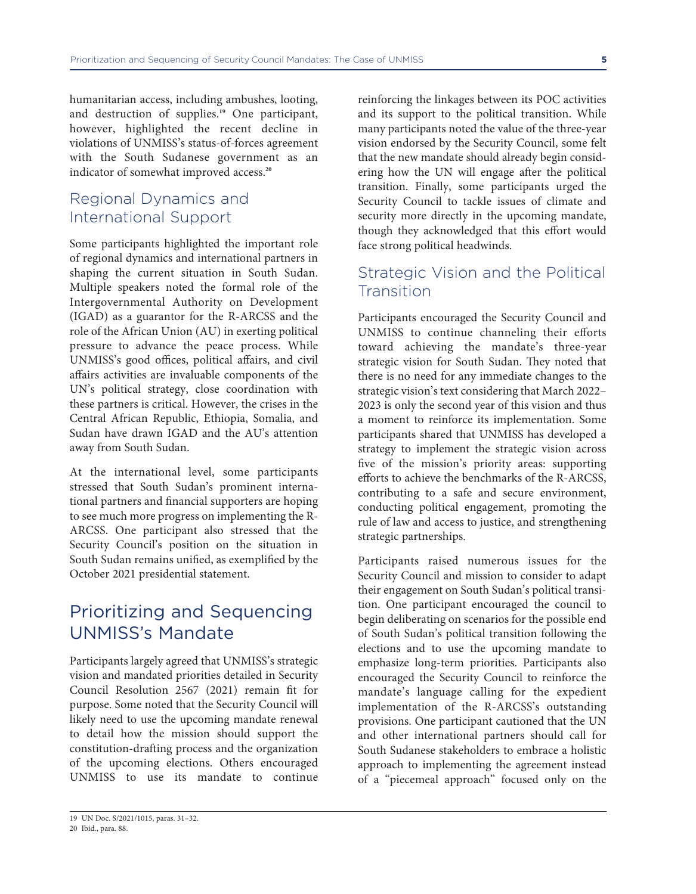humanitarian access, including ambushes, looting, and destruction of supplies.**<sup>19</sup>** One participant, however, highlighted the recent decline in violations of UNMISS's status-of-forces agreement with the South Sudanese government as an indicator of somewhat improved access.**<sup>20</sup>**

## Regional Dynamics and International Support

Some participants highlighted the important role of regional dynamics and international partners in shaping the current situation in South Sudan. Multiple speakers noted the formal role of the Intergovernmental Authority on Development (IGAD) as a guarantor for the R-ARCSS and the role of the African Union (AU) in exerting political pressure to advance the peace process. While UNMISS's good offices, political affairs, and civil affairs activities are invaluable components of the UN's political strategy, close coordination with these partners is critical. However, the crises in the Central African Republic, Ethiopia, Somalia, and Sudan have drawn IGAD and the AU's attention away from South Sudan.

At the international level, some participants stressed that South Sudan's prominent international partners and financial supporters are hoping to see much more progress on implementing the R-ARCSS. One participant also stressed that the Security Council's position on the situation in South Sudan remains unified, as exemplified by the October 2021 presidential statement.

# Prioritizing and Sequencing UNMISS's Mandate

Participants largely agreed that UNMISS's strategic vision and mandated priorities detailed in Security Council Resolution 2567 (2021) remain fit for purpose. Some noted that the Security Council will likely need to use the upcoming mandate renewal to detail how the mission should support the constitution-drafting process and the organization of the upcoming elections. Others encouraged UNMISS to use its mandate to continue

reinforcing the linkages between its POC activities and its support to the political transition. While many participants noted the value of the three-year vision endorsed by the Security Council, some felt that the new mandate should already begin considering how the UN will engage after the political transition. Finally, some participants urged the Security Council to tackle issues of climate and security more directly in the upcoming mandate, though they acknowledged that this effort would face strong political headwinds.

## Strategic Vision and the Political **Transition**

Participants encouraged the Security Council and UNMISS to continue channeling their efforts toward achieving the mandate's three-year strategic vision for South Sudan. They noted that there is no need for any immediate changes to the strategic vision's text considering that March 2022– 2023 is only the second year of this vision and thus a moment to reinforce its implementation. Some participants shared that UNMISS has developed a strategy to implement the strategic vision across five of the mission's priority areas: supporting efforts to achieve the benchmarks of the R-ARCSS, contributing to a safe and secure environment, conducting political engagement, promoting the rule of law and access to justice, and strengthening strategic partnerships.

Participants raised numerous issues for the Security Council and mission to consider to adapt their engagement on South Sudan's political transition. One participant encouraged the council to begin deliberating on scenarios for the possible end of South Sudan's political transition following the elections and to use the upcoming mandate to emphasize long-term priorities. Participants also encouraged the Security Council to reinforce the mandate's language calling for the expedient implementation of the R-ARCSS's outstanding provisions. One participant cautioned that the UN and other international partners should call for South Sudanese stakeholders to embrace a holistic approach to implementing the agreement instead of a "piecemeal approach" focused only on the

<sup>19</sup> UN Doc. S/2021/1015, paras. 31–32.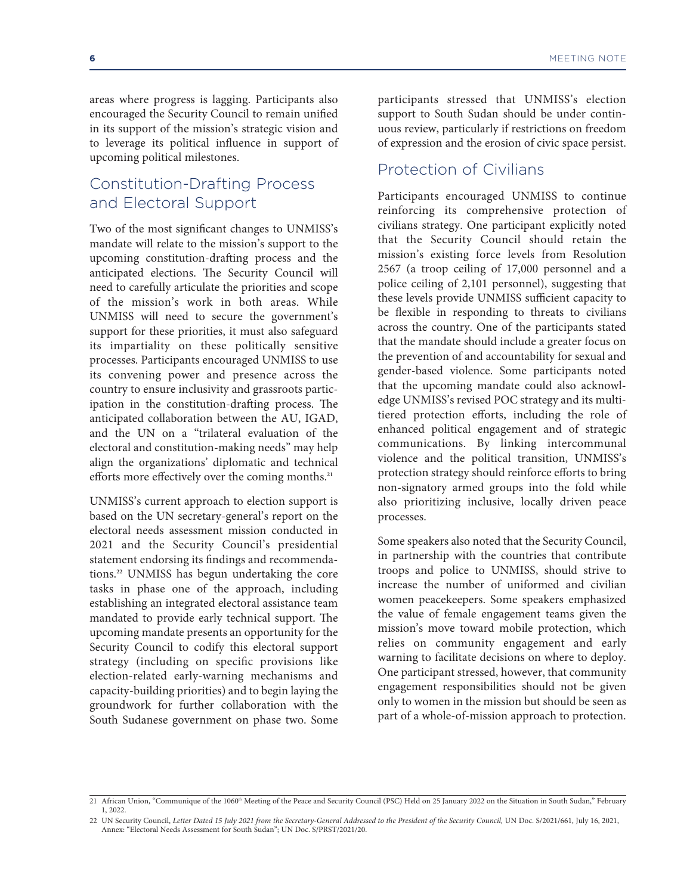areas where progress is lagging. Participants also encouraged the Security Council to remain unified in its support of the mission's strategic vision and to leverage its political influence in support of upcoming political milestones.

## Constitution-Drafting Process and Electoral Support

Two of the most significant changes to UNMISS's mandate will relate to the mission's support to the upcoming constitution-drafting process and the anticipated elections. The Security Council will need to carefully articulate the priorities and scope of the mission's work in both areas. While UNMISS will need to secure the government's support for these priorities, it must also safeguard its impartiality on these politically sensitive processes. Participants encouraged UNMISS to use its convening power and presence across the country to ensure inclusivity and grassroots participation in the constitution-drafting process. The anticipated collaboration between the AU, IGAD, and the UN on a "trilateral evaluation of the electoral and constitution-making needs" may help align the organizations' diplomatic and technical efforts more effectively over the coming months.**<sup>21</sup>**

UNMISS's current approach to election support is based on the UN secretary-general's report on the electoral needs assessment mission conducted in 2021 and the Security Council's presidential statement endorsing its findings and recommendations.**<sup>22</sup>** UNMISS has begun undertaking the core tasks in phase one of the approach, including establishing an integrated electoral assistance team mandated to provide early technical support. The upcoming mandate presents an opportunity for the Security Council to codify this electoral support strategy (including on specific provisions like election-related early-warning mechanisms and capacity-building priorities) and to begin laying the groundwork for further collaboration with the South Sudanese government on phase two. Some

participants stressed that UNMISS's election support to South Sudan should be under continuous review, particularly if restrictions on freedom of expression and the erosion of civic space persist.

#### Protection of Civilians

Participants encouraged UNMISS to continue reinforcing its comprehensive protection of civilians strategy. One participant explicitly noted that the Security Council should retain the mission's existing force levels from Resolution 2567 (a troop ceiling of 17,000 personnel and a police ceiling of 2,101 personnel), suggesting that these levels provide UNMISS sufficient capacity to be flexible in responding to threats to civilians across the country. One of the participants stated that the mandate should include a greater focus on the prevention of and accountability for sexual and gender-based violence. Some participants noted that the upcoming mandate could also acknowledge UNMISS's revised POC strategy and its multitiered protection efforts, including the role of enhanced political engagement and of strategic communications. By linking intercommunal violence and the political transition, UNMISS's protection strategy should reinforce efforts to bring non-signatory armed groups into the fold while also prioritizing inclusive, locally driven peace processes.

Some speakers also noted that the Security Council, in partnership with the countries that contribute troops and police to UNMISS, should strive to increase the number of uniformed and civilian women peacekeepers. Some speakers emphasized the value of female engagement teams given the mission's move toward mobile protection, which relies on community engagement and early warning to facilitate decisions on where to deploy. One participant stressed, however, that community engagement responsibilities should not be given only to women in the mission but should be seen as part of a whole-of-mission approach to protection.

<sup>21</sup> African Union, "Communique of the 1060<sup>th</sup> Meeting of the Peace and Security Council (PSC) Held on 25 January 2022 on the Situation in South Sudan," February 1, 2022.

<sup>22</sup> UN Security Council, *Letter Dated 15 July 2021 from the Secretary-General Addressed to the President of the Security Council,* UN Doc. S/2021/661, July 16, 2021, Annex: "Electoral Needs Assessment for South Sudan"; UN Doc. S/PRST/2021/20.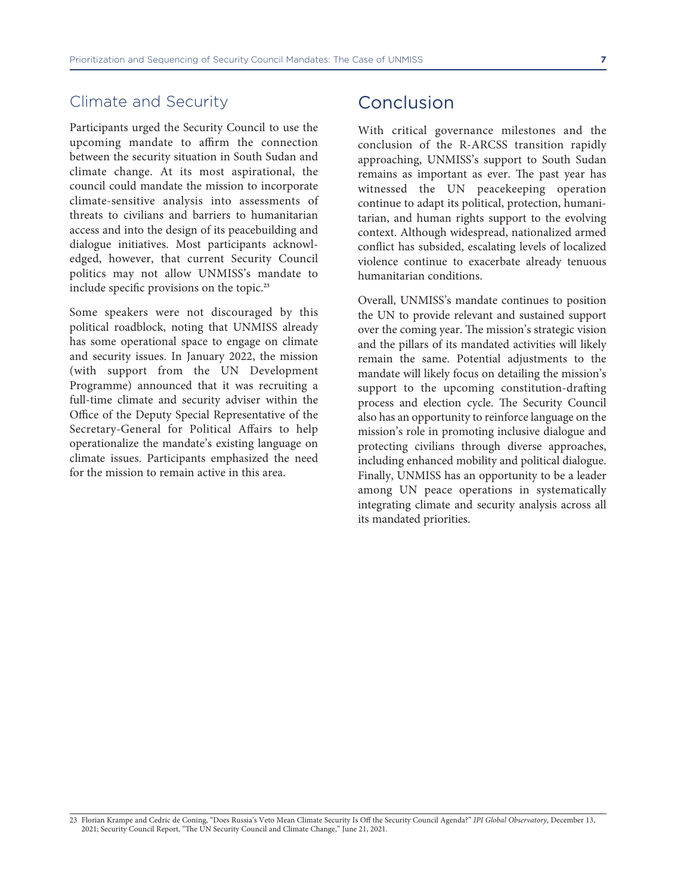#### Climate and Security

Participants urged the Security Council to use the upcoming mandate to affirm the connection between the security situation in South Sudan and climate change. At its most aspirational, the council could mandate the mission to incorporate climate-sensitive analysis into assessments of threats to civilians and barriers to humanitarian access and into the design of its peacebuilding and dialogue initiatives. Most participants acknowledged, however, that current Security Council politics may not allow UNMISS's mandate to include specific provisions on the topic.**<sup>23</sup>**

Some speakers were not discouraged by this political roadblock, noting that UNMISS already has some operational space to engage on climate and security issues. In January 2022, the mission (with support from the UN Development Programme) announced that it was recruiting a full-time climate and security adviser within the Office of the Deputy Special Representative of the Secretary-General for Political Affairs to help operationalize the mandate's existing language on climate issues. Participants emphasized the need for the mission to remain active in this area.

## Conclusion

With critical governance milestones and the conclusion of the R-ARCSS transition rapidly approaching, UNMISS's support to South Sudan remains as important as ever. The past year has witnessed the UN peacekeeping operation continue to adapt its political, protection, humanitarian, and human rights support to the evolving context. Although widespread, nationalized armed conflict has subsided, escalating levels of localized violence continue to exacerbate already tenuous humanitarian conditions.

Overall, UNMISS's mandate continues to position the UN to provide relevant and sustained support over the coming year. The mission's strategic vision and the pillars of its mandated activities will likely remain the same. Potential adjustments to the mandate will likely focus on detailing the mission's support to the upcoming constitution-drafting process and election cycle. The Security Council also has an opportunity to reinforce language on the mission's role in promoting inclusive dialogue and protecting civilians through diverse approaches, including enhanced mobility and political dialogue. Finally, UNMISS has an opportunity to be a leader among UN peace operations in systematically integrating climate and security analysis across all its mandated priorities.

<sup>23</sup> Florian Krampe and Cedric de Coning, "Does Russia's Veto Mean Climate Security Is Off the Security Council Agenda?" *IPI Global Observatory*, December 13, 2021; Security Council Report, "The UN Security Council and Climate Change," June 21, 2021.